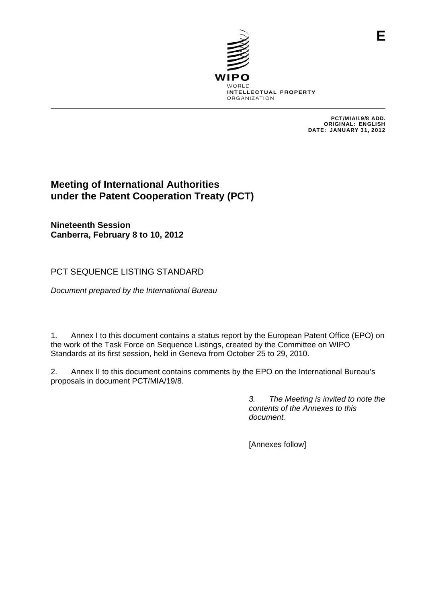

PCT/MIA/19/8 ADD. ORIGINAL: ENGLISH DATE: JANUARY 31, 2012

**E**

# **Meeting of International Authorities under the Patent Cooperation Treaty (PCT)**

**Nineteenth Session Canberra, February 8 to 10, 2012** 

PCT SEQUENCE LISTING STANDARD

*Document prepared by the International Bureau* 

1. Annex I to this document contains a status report by the European Patent Office (EPO) on the work of the Task Force on Sequence Listings, created by the Committee on WIPO Standards at its first session, held in Geneva from October 25 to 29, 2010.

2. Annex II to this document contains comments by the EPO on the International Bureau's proposals in document PCT/MIA/19/8.

> *3. The Meeting is invited to note the contents of the Annexes to this document.*

[Annexes follow]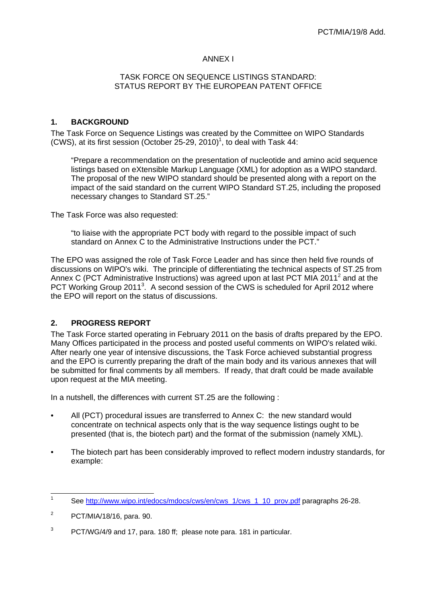## ANNEX I

#### TASK FORCE ON SEQUENCE LISTINGS STANDARD: STATUS REPORT BY THE EUROPEAN PATENT OFFICE

# **1. BACKGROUND**

The Task Force on Sequence Listings was created by the Committee on WIPO Standards (CWS), at its first session (October 25-29, 2010)<sup>1</sup>, to deal with Task 44:

"Prepare a recommendation on the presentation of nucleotide and amino acid sequence listings based on eXtensible Markup Language (XML) for adoption as a WIPO standard. The proposal of the new WIPO standard should be presented along with a report on the impact of the said standard on the current WIPO Standard ST.25, including the proposed necessary changes to Standard ST.25."

The Task Force was also requested:

"to liaise with the appropriate PCT body with regard to the possible impact of such standard on Annex C to the Administrative Instructions under the PCT."

The EPO was assigned the role of Task Force Leader and has since then held five rounds of discussions on WIPO's wiki. The principle of differentiating the technical aspects of ST.25 from Annex C (PCT Administrative Instructions) was agreed upon at last PCT MIA 2011<sup>2</sup> and at the PCT Working Group 2011<sup>3</sup>. A second session of the CWS is scheduled for April 2012 where the EPO will report on the status of discussions.

## **2. PROGRESS REPORT**

The Task Force started operating in February 2011 on the basis of drafts prepared by the EPO. Many Offices participated in the process and posted useful comments on WIPO's related wiki. After nearly one year of intensive discussions, the Task Force achieved substantial progress and the EPO is currently preparing the draft of the main body and its various annexes that will be submitted for final comments by all members. If ready, that draft could be made available upon request at the MIA meeting.

In a nutshell, the differences with current ST.25 are the following :

- All (PCT) procedural issues are transferred to Annex C: the new standard would concentrate on technical aspects only that is the way sequence listings ought to be presented (that is, the biotech part) and the format of the submission (namely XML).
- The biotech part has been considerably improved to reflect modern industry standards, for example:

 $\frac{1}{1}$ See http://www.wipo.int/edocs/mdocs/cws/en/cws\_1/cws\_1\_10\_prov.pdf paragraphs 26-28.

<sup>2</sup> PCT/MIA/18/16, para. 90.

<sup>3</sup> PCT/WG/4/9 and 17, para. 180 ff; please note para. 181 in particular.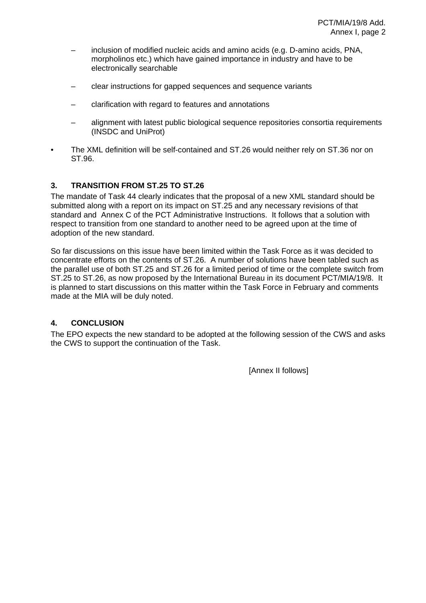- inclusion of modified nucleic acids and amino acids (e.g. D-amino acids, PNA, morpholinos etc.) which have gained importance in industry and have to be electronically searchable
- clear instructions for gapped sequences and sequence variants
- clarification with regard to features and annotations
- alignment with latest public biological sequence repositories consortia requirements (INSDC and UniProt)
- The XML definition will be self-contained and ST.26 would neither rely on ST.36 nor on ST.96.

# **3. TRANSITION FROM ST.25 TO ST.26**

The mandate of Task 44 clearly indicates that the proposal of a new XML standard should be submitted along with a report on its impact on ST.25 and any necessary revisions of that standard and Annex C of the PCT Administrative Instructions. It follows that a solution with respect to transition from one standard to another need to be agreed upon at the time of adoption of the new standard.

So far discussions on this issue have been limited within the Task Force as it was decided to concentrate efforts on the contents of ST.26. A number of solutions have been tabled such as the parallel use of both ST.25 and ST.26 for a limited period of time or the complete switch from ST.25 to ST.26, as now proposed by the International Bureau in its document PCT/MIA/19/8. It is planned to start discussions on this matter within the Task Force in February and comments made at the MIA will be duly noted.

## **4. CONCLUSION**

The EPO expects the new standard to be adopted at the following session of the CWS and asks the CWS to support the continuation of the Task.

[Annex II follows]